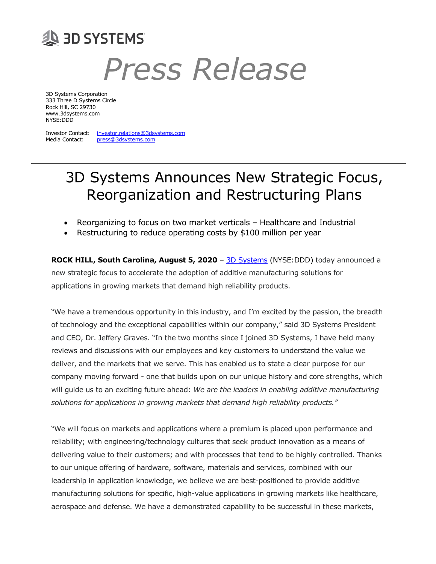## **AD SYSTEMS**

# Press Release

3D Systems Corporation 333 Three D Systems Circle Rock Hill, SC 29730 www.3dsystems.com NYSE:DDD

Investor Contact: investor.relations@3dsystems.com Media Contact: press@3dsystems.com

## 3D Systems Announces New Strategic Focus, Reorganization and Restructuring Plans

- Reorganizing to focus on two market verticals Healthcare and Industrial
- Restructuring to reduce operating costs by \$100 million per year

**ROCK HILL, South Carolina, August 5, 2020** - 3D Systems (NYSE:DDD) today announced a new strategic focus to accelerate the adoption of additive manufacturing solutions for applications in growing markets that demand high reliability products.

"We have a tremendous opportunity in this industry, and I'm excited by the passion, the breadth of technology and the exceptional capabilities within our company," said 3D Systems President and CEO, Dr. Jeffery Graves. "In the two months since I joined 3D Systems, I have held many reviews and discussions with our employees and key customers to understand the value we deliver, and the markets that we serve. This has enabled us to state a clear purpose for our company moving forward - one that builds upon on our unique history and core strengths, which will guide us to an exciting future ahead: We are the leaders in enabling additive manufacturing solutions for applications in growing markets that demand high reliability products."

"We will focus on markets and applications where a premium is placed upon performance and reliability; with engineering/technology cultures that seek product innovation as a means of delivering value to their customers; and with processes that tend to be highly controlled. Thanks to our unique offering of hardware, software, materials and services, combined with our leadership in application knowledge, we believe we are best-positioned to provide additive manufacturing solutions for specific, high-value applications in growing markets like healthcare, aerospace and defense. We have a demonstrated capability to be successful in these markets,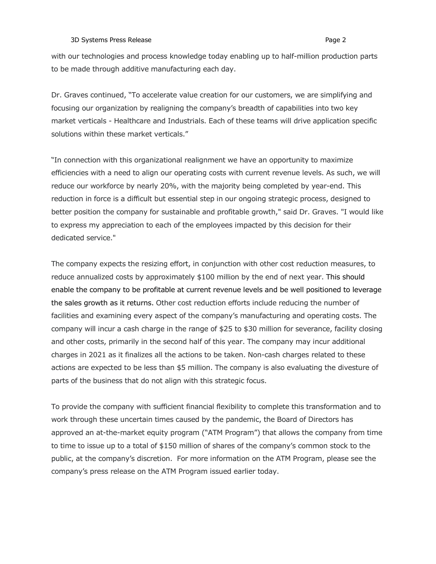### 3D Systems Press Release **Page 2** and the system of the system of the system of the system of the system of the system of the system of the system of the system of the system of the system of the system of the system of th

with our technologies and process knowledge today enabling up to half-million production parts to be made through additive manufacturing each day.

Dr. Graves continued, "To accelerate value creation for our customers, we are simplifying and focusing our organization by realigning the company's breadth of capabilities into two key market verticals - Healthcare and Industrials. Each of these teams will drive application specific solutions within these market verticals."

"In connection with this organizational realignment we have an opportunity to maximize efficiencies with a need to align our operating costs with current revenue levels. As such, we will reduce our workforce by nearly 20%, with the majority being completed by year-end. This reduction in force is a difficult but essential step in our ongoing strategic process, designed to better position the company for sustainable and profitable growth," said Dr. Graves. "I would like to express my appreciation to each of the employees impacted by this decision for their dedicated service."

The company expects the resizing effort, in conjunction with other cost reduction measures, to reduce annualized costs by approximately \$100 million by the end of next year. This should enable the company to be profitable at current revenue levels and be well positioned to leverage the sales growth as it returns. Other cost reduction efforts include reducing the number of facilities and examining every aspect of the company's manufacturing and operating costs. The company will incur a cash charge in the range of \$25 to \$30 million for severance, facility closing and other costs, primarily in the second half of this year. The company may incur additional charges in 2021 as it finalizes all the actions to be taken. Non-cash charges related to these actions are expected to be less than \$5 million. The company is also evaluating the divesture of parts of the business that do not align with this strategic focus.

To provide the company with sufficient financial flexibility to complete this transformation and to work through these uncertain times caused by the pandemic, the Board of Directors has approved an at-the-market equity program ("ATM Program") that allows the company from time to time to issue up to a total of \$150 million of shares of the company's common stock to the public, at the company's discretion. For more information on the ATM Program, please see the company's press release on the ATM Program issued earlier today.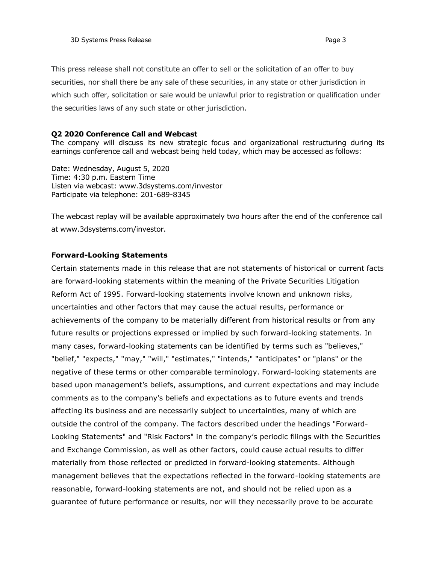This press release shall not constitute an offer to sell or the solicitation of an offer to buy securities, nor shall there be any sale of these securities, in any state or other jurisdiction in which such offer, solicitation or sale would be unlawful prior to registration or qualification under the securities laws of any such state or other jurisdiction.

## Q2 2020 Conference Call and Webcast

The company will discuss its new strategic focus and organizational restructuring during its earnings conference call and webcast being held today, which may be accessed as follows:

Date: Wednesday, August 5, 2020 Time: 4:30 p.m. Eastern Time Listen via webcast: www.3dsystems.com/investor Participate via telephone: 201-689-8345

The webcast replay will be available approximately two hours after the end of the conference call at www.3dsystems.com/investor.

## Forward-Looking Statements

Certain statements made in this release that are not statements of historical or current facts are forward-looking statements within the meaning of the Private Securities Litigation Reform Act of 1995. Forward-looking statements involve known and unknown risks, uncertainties and other factors that may cause the actual results, performance or achievements of the company to be materially different from historical results or from any future results or projections expressed or implied by such forward-looking statements. In many cases, forward-looking statements can be identified by terms such as "believes," "belief," "expects," "may," "will," "estimates," "intends," "anticipates" or "plans" or the negative of these terms or other comparable terminology. Forward-looking statements are based upon management's beliefs, assumptions, and current expectations and may include comments as to the company's beliefs and expectations as to future events and trends affecting its business and are necessarily subject to uncertainties, many of which are outside the control of the company. The factors described under the headings "Forward-Looking Statements" and "Risk Factors" in the company's periodic filings with the Securities and Exchange Commission, as well as other factors, could cause actual results to differ materially from those reflected or predicted in forward-looking statements. Although management believes that the expectations reflected in the forward-looking statements are reasonable, forward-looking statements are not, and should not be relied upon as a guarantee of future performance or results, nor will they necessarily prove to be accurate